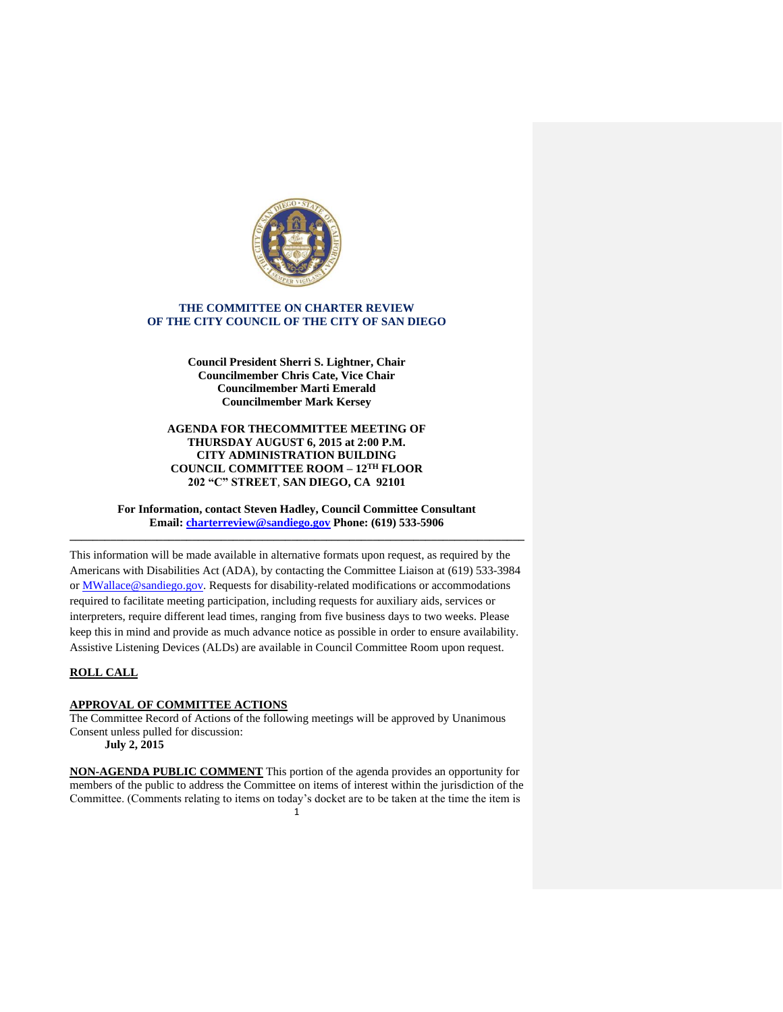

# **THE COMMITTEE ON CHARTER REVIEW OF THE CITY COUNCIL OF THE CITY OF SAN DIEGO**

**Council President Sherri S. Lightner, Chair Councilmember Chris Cate, Vice Chair Councilmember Marti Emerald Councilmember Mark Kersey**

## **AGENDA FOR THECOMMITTEE MEETING OF THURSDAY AUGUST 6, 2015 at 2:00 P.M. CITY ADMINISTRATION BUILDING COUNCIL COMMITTEE ROOM – 12TH FLOOR 202 "C" STREET**, **SAN DIEGO, CA 92101**

**For Information, contact Steven Hadley, Council Committee Consultant Email: [charterreview@sandiego.gov](mailto:charterreview@sandiego.gov) Phone: (619) 533-5906 \_\_\_\_\_\_\_\_\_\_\_\_\_\_\_\_\_\_\_\_\_\_\_\_\_\_\_\_\_\_\_\_\_\_\_\_\_\_\_\_\_\_\_\_\_\_\_\_\_\_\_\_\_\_\_\_\_\_\_\_\_\_\_\_\_\_\_\_\_\_\_\_\_\_\_\_\_\_**

This information will be made available in alternative formats upon request, as required by the Americans with Disabilities Act (ADA), by contacting the Committee Liaison at (619) 533-3984 or MWallace@sandiego.gov. Requests for disability-related modifications or accommodations required to facilitate meeting participation, including requests for auxiliary aids, services or interpreters, require different lead times, ranging from five business days to two weeks. Please keep this in mind and provide as much advance notice as possible in order to ensure availability. Assistive Listening Devices (ALDs) are available in Council Committee Room upon request.

# **ROLL CALL**

## **APPROVAL OF COMMITTEE ACTIONS**

The Committee Record of Actions of the following meetings will be approved by Unanimous Consent unless pulled for discussion:

**July 2, 2015**

1 **NON-AGENDA PUBLIC COMMENT** This portion of the agenda provides an opportunity for members of the public to address the Committee on items of interest within the jurisdiction of the Committee. (Comments relating to items on today's docket are to be taken at the time the item is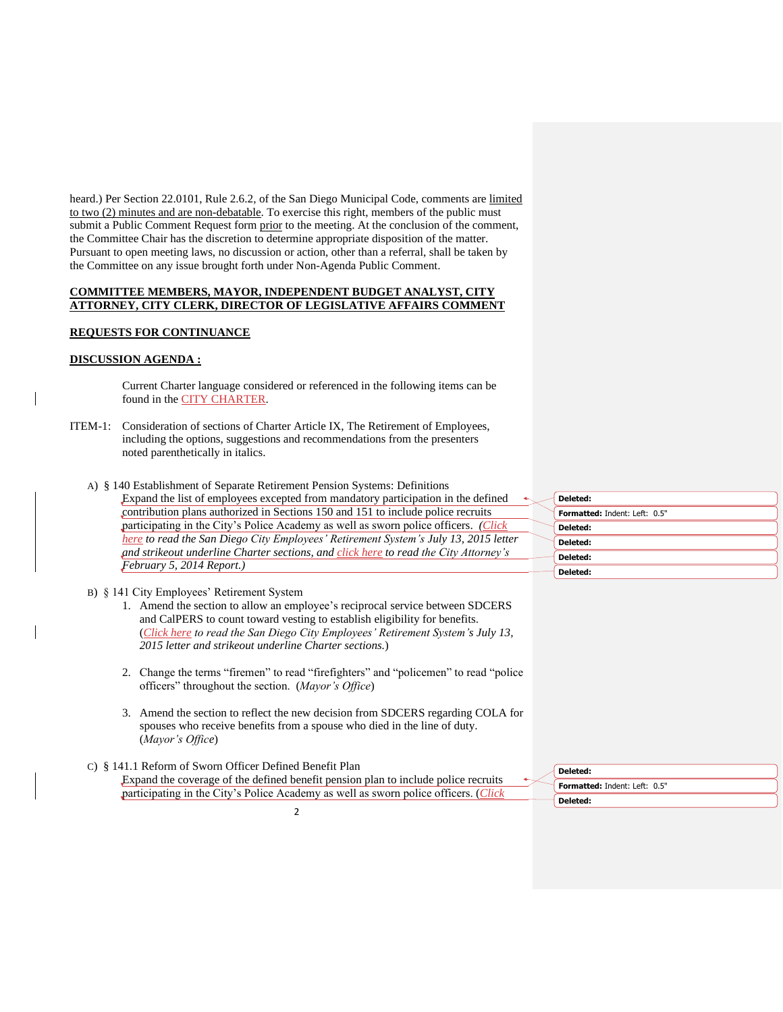heard.) Per Section 22.0101, Rule 2.6.2, of the San Diego Municipal Code, comments are limited to two (2) minutes and are non-debatable. To exercise this right, members of the public must submit a Public Comment Request form prior to the meeting. At the conclusion of the comment, the Committee Chair has the discretion to determine appropriate disposition of the matter. Pursuant to open meeting laws, no discussion or action, other than a referral, shall be taken by the Committee on any issue brought forth under Non-Agenda Public Comment.

# **COMMITTEE MEMBERS, MAYOR, INDEPENDENT BUDGET ANALYST, CITY ATTORNEY, CITY CLERK, DIRECTOR OF LEGISLATIVE AFFAIRS COMMENT**

## **REQUESTS FOR CONTINUANCE**

## **DISCUSSION AGENDA :**

Current Charter language considered or referenced in the following items can be found in the [CITY CHARTER.](http://www.sandiego.gov/city-clerk/officialdocs/legisdocs/charter.shtml)

ITEM-1: Consideration of sections of Charter Article IX, The Retirement of Employees, including the options, suggestions and recommendations from the presenters noted parenthetically in italics.

| A) § 140 Establishment of Separate Retirement Pension Systems: Definitions            |                               |
|---------------------------------------------------------------------------------------|-------------------------------|
| Expand the list of employees excepted from mandatory participation in the defined     | Deleted:                      |
| contribution plans authorized in Sections 150 and 151 to include police recruits      | Formatted: Indent: Left: 0.5" |
| participating in the City's Police Academy as well as sworn police officers. (Click   | Deleted:                      |
| here to read the San Diego City Employees' Retirement System's July 13, 2015 letter   | Deleted:                      |
| and strike out underline Charter sections, and click here to read the City Attorney's | Deleted:                      |
| February 5, 2014 Report.)                                                             | Deleted:                      |
|                                                                                       |                               |

### B) § 141 City Employees' Retirement System

- 1. Amend the section to allow an employee's reciprocal service between SDCERS and CalPERS to count toward vesting to establish eligibility for benefits. (*[Click here](http://docs.sandiego.gov/councilcomm_agendas_attach/2015/cr_150806_1.pdf) to read the San Diego City Employees' Retirement System's July 13, 2015 letter and strikeout underline Charter sections.*)
- 2. Change the terms "firemen" to read "firefighters" and "policemen" to read "police officers" throughout the section. (*Mayor's Office*)
- 3. Amend the section to reflect the new decision from SDCERS regarding COLA for spouses who receive benefits from a spouse who died in the line of duty. (*Mayor's Office*)
- C) § 141.1 Reform of Sworn Officer Defined Benefit Plan Expand the coverage of the defined benefit pension plan to include police recruits participating in the City's Police Academy as well as sworn police officers. (*[Click](http://docs.sandiego.gov/councilcomm_agendas_attach/2015/cr_150806_1.pdf)*

2

| Deleted:                             |
|--------------------------------------|
| <b>Formatted: Indent: Left: 0.5"</b> |
| Deleted:                             |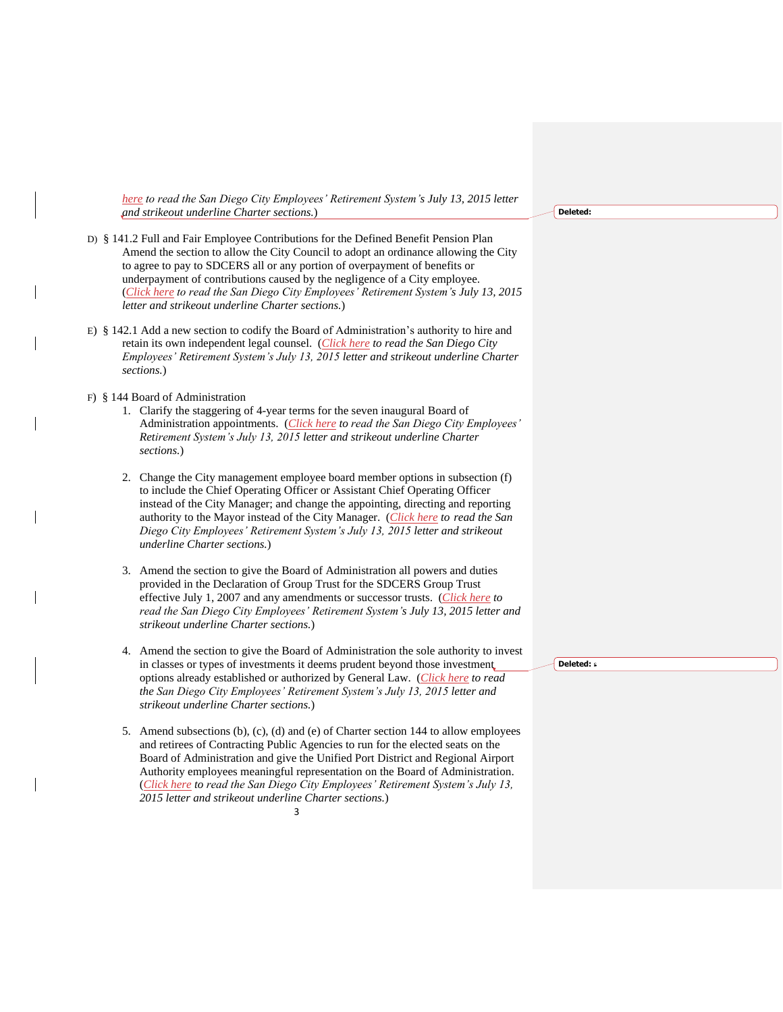*[here](http://docs.sandiego.gov/councilcomm_agendas_attach/2015/cr_150806_1.pdf) to read the San Diego City Employees' Retirement System's July 13, 2015 letter and strikeout underline Charter sections.*)

- D) § 141.2 Full and Fair Employee Contributions for the Defined Benefit Pension Plan Amend the section to allow the City Council to adopt an ordinance allowing the City to agree to pay to SDCERS all or any portion of overpayment of benefits or underpayment of contributions caused by the negligence of a City employee. (*[Click here](http://docs.sandiego.gov/councilcomm_agendas_attach/2015/cr_150806_1.pdf) to read the San Diego City Employees' Retirement System's July 13, 2015 letter and strikeout underline Charter sections.*)
- E) § 142.1 Add a new section to codify the Board of Administration's authority to hire and retain its own independent legal counsel. (*[Click here](http://docs.sandiego.gov/councilcomm_agendas_attach/2015/cr_150806_1.pdf) to read the San Diego City Employees' Retirement System's July 13, 2015 letter and strikeout underline Charter sections.*)

### F) § 144 Board of Administration

- 1. Clarify the staggering of 4-year terms for the seven inaugural Board of Administration appointments. (*[Click here](http://docs.sandiego.gov/councilcomm_agendas_attach/2015/cr_150806_1.pdf) to read the San Diego City Employees' Retirement System's July 13, 2015 letter and strikeout underline Charter sections.*)
- 2. Change the City management employee board member options in subsection (f) to include the Chief Operating Officer or Assistant Chief Operating Officer instead of the City Manager; and change the appointing, directing and reporting authority to the Mayor instead of the City Manager. (*[Click here](http://docs.sandiego.gov/councilcomm_agendas_attach/2015/cr_150806_1.pdf) to read the San Diego City Employees' Retirement System's July 13, 2015 letter and strikeout underline Charter sections.*)
- 3. Amend the section to give the Board of Administration all powers and duties provided in the Declaration of Group Trust for the SDCERS Group Trust effective July 1, 2007 and any amendments or successor trusts. (*[Click here](http://docs.sandiego.gov/councilcomm_agendas_attach/2015/cr_150806_1.pdf) to read the San Diego City Employees' Retirement System's July 13, 2015 letter and strikeout underline Charter sections.*)
- 4. Amend the section to give the Board of Administration the sole authority to invest in classes or types of investments it deems prudent beyond those investment options already established or authorized by General Law. (*[Click here](http://docs.sandiego.gov/councilcomm_agendas_attach/2015/cr_150806_1.pdf) to read the San Diego City Employees' Retirement System's July 13, 2015 letter and strikeout underline Charter sections.*)
- 3 5. Amend subsections (b), (c), (d) and (e) of Charter section 144 to allow employees and retirees of Contracting Public Agencies to run for the elected seats on the Board of Administration and give the Unified Port District and Regional Airport Authority employees meaningful representation on the Board of Administration. (*[Click here](http://docs.sandiego.gov/councilcomm_agendas_attach/2015/cr_150806_1.pdf) to read the San Diego City Employees' Retirement System's July 13, 2015 letter and strikeout underline Charter sections.*)

#### **Deleted:**

**Deleted:** s